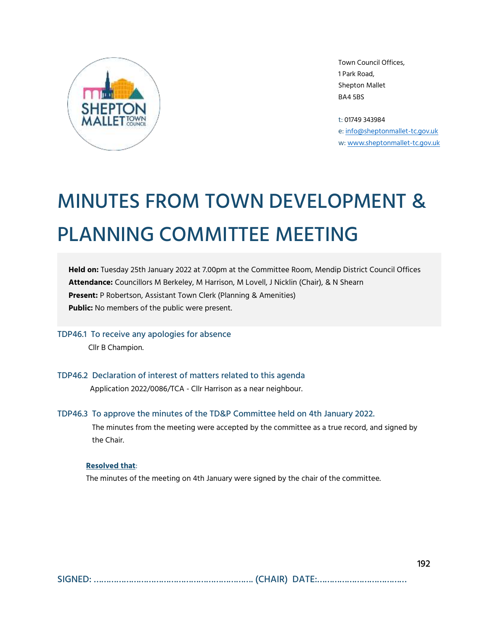

Town Council Offices, 1 Park Road, Shepton Mallet BA4 5BS

t: 01749 343984 e[: info@sheptonmallet-tc.gov.uk](mailto:info@sheptonmallet-tc.gov.uk) w: [www.sheptonmallet-tc.gov.uk](http://www.sheptonmallet-tc.gov.uk/)

# MINUTES FROM TOWN DEVELOPMENT & PLANNING COMMITTEE MEETING

**Held on:** Tuesday 25th January 2022 at 7.00pm at the Committee Room, Mendip District Council Offices **Attendance:** Councillors M Berkeley, M Harrison, M Lovell, J Nicklin (Chair), & N Shearn **Present:** P Robertson, Assistant Town Clerk (Planning & Amenities) **Public:** No members of the public were present.

TDP46.1 To receive any apologies for absence Cllr B Champion.

TDP46.2 Declaration of interest of matters related to this agenda

Application 2022/0086/TCA - Cllr Harrison as a near neighbour.

## TDP46.3 To approve the minutes of the TD&P Committee held on 4th January 2022.

The minutes from the meeting were accepted by the committee as a true record, and signed by the Chair.

#### **Resolved that**:

The minutes of the meeting on 4th January were signed by the chair of the committee.

SIGNED: ………………………………………………………. (CHAIR) DATE:………………………………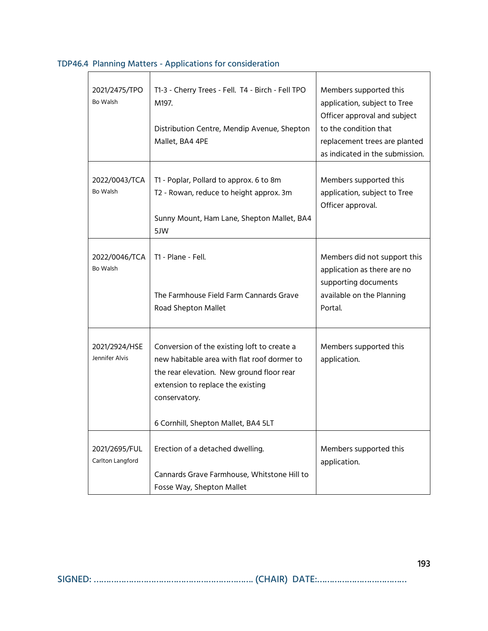| 2021/2475/TPO<br>Bo Walsh         | T1-3 - Cherry Trees - Fell. T4 - Birch - Fell TPO<br>M197.<br>Distribution Centre, Mendip Avenue, Shepton<br>Mallet, BA4 4PE                                                                                                         | Members supported this<br>application, subject to Tree<br>Officer approval and subject<br>to the condition that<br>replacement trees are planted<br>as indicated in the submission. |
|-----------------------------------|--------------------------------------------------------------------------------------------------------------------------------------------------------------------------------------------------------------------------------------|-------------------------------------------------------------------------------------------------------------------------------------------------------------------------------------|
| 2022/0043/TCA<br>Bo Walsh         | T1 - Poplar, Pollard to approx. 6 to 8m<br>T2 - Rowan, reduce to height approx. 3m<br>Sunny Mount, Ham Lane, Shepton Mallet, BA4<br>5JW                                                                                              | Members supported this<br>application, subject to Tree<br>Officer approval.                                                                                                         |
| 2022/0046/TCA<br>Bo Walsh         | T1 - Plane - Fell.<br>The Farmhouse Field Farm Cannards Grave<br>Road Shepton Mallet                                                                                                                                                 | Members did not support this<br>application as there are no<br>supporting documents<br>available on the Planning<br>Portal.                                                         |
| 2021/2924/HSE<br>Jennifer Alvis   | Conversion of the existing loft to create a<br>new habitable area with flat roof dormer to<br>the rear elevation. New ground floor rear<br>extension to replace the existing<br>conservatory.<br>6 Cornhill, Shepton Mallet, BA4 5LT | Members supported this<br>application.                                                                                                                                              |
| 2021/2695/FUL<br>Carlton Langford | Erection of a detached dwelling.<br>Cannards Grave Farmhouse, Whitstone Hill to<br>Fosse Way, Shepton Mallet                                                                                                                         | Members supported this<br>application.                                                                                                                                              |

# TDP46.4 Planning Matters - Applications for consideration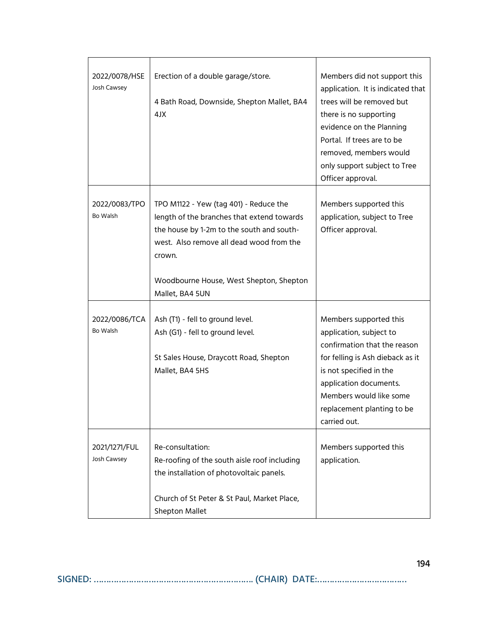| 2022/0078/HSE<br>Josh Cawsey | Erection of a double garage/store.<br>4 Bath Road, Downside, Shepton Mallet, BA4<br>4JX                                                                                                                                                               | Members did not support this<br>application. It is indicated that<br>trees will be removed but<br>there is no supporting<br>evidence on the Planning<br>Portal. If trees are to be<br>removed, members would<br>only support subject to Tree<br>Officer approval. |
|------------------------------|-------------------------------------------------------------------------------------------------------------------------------------------------------------------------------------------------------------------------------------------------------|-------------------------------------------------------------------------------------------------------------------------------------------------------------------------------------------------------------------------------------------------------------------|
| 2022/0083/TPO<br>Bo Walsh    | TPO M1122 - Yew (tag 401) - Reduce the<br>length of the branches that extend towards<br>the house by 1-2m to the south and south-<br>west. Also remove all dead wood from the<br>crown.<br>Woodbourne House, West Shepton, Shepton<br>Mallet, BA4 5UN | Members supported this<br>application, subject to Tree<br>Officer approval.                                                                                                                                                                                       |
| 2022/0086/TCA<br>Bo Walsh    | Ash (T1) - fell to ground level.<br>Ash (G1) - fell to ground level.<br>St Sales House, Draycott Road, Shepton<br>Mallet, BA4 5HS                                                                                                                     | Members supported this<br>application, subject to<br>confirmation that the reason<br>for felling is Ash dieback as it<br>is not specified in the<br>application documents.<br>Members would like some<br>replacement planting to be<br>carried out.               |
| 2021/1271/FUL<br>Josh Cawsey | Re-consultation:<br>Re-roofing of the south aisle roof including<br>the installation of photovoltaic panels.<br>Church of St Peter & St Paul, Market Place,<br>Shepton Mallet                                                                         | Members supported this<br>application.                                                                                                                                                                                                                            |